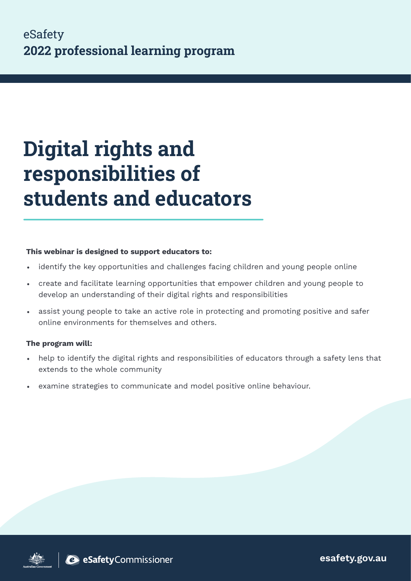# **Digital rights and responsibilities of students and educators**

#### This webinar is designed to support educators to:

- identify the key opportunities and challenges facing children and young people online
- create and facilitate learning opportunities that empower children and young people to develop an understanding of their digital rights and responsibilities
- assist young people to take an active role in protecting and promoting positive and safer online environments for themselves and others.

#### The program will:

- help to identify the digital rights and responsibilities of educators through a safety lens that extends to the whole community
- examine strategies to communicate and model positive online behaviour.

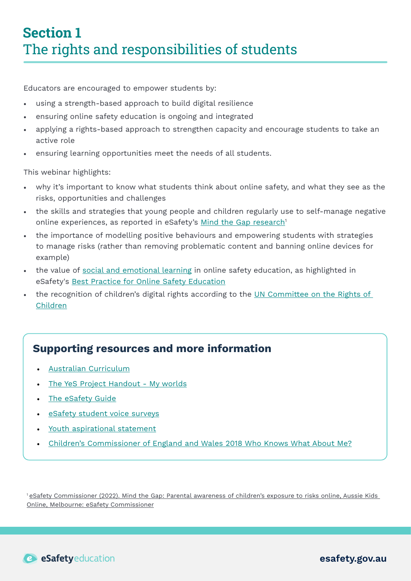Educators are encouraged to empower students by:

- using a strength-based approach to build digital resilience
- ensuring online safety education is ongoing and integrated
- applying a rights-based approach to strengthen capacity and encourage students to take an active role
- ensuring learning opportunities meet the needs of all students.

This webinar highlights:

- why it's important to know what students think about online safety, and what they see as the risks, opportunities and challenges
- the skills and strategies that young people and children regularly use to self-manage negative online experiences, as reported in eSafety's [Mind the Gap research](https://www.esafety.gov.au/research/mind-gap)<sup>1</sup>
- the importance of modelling positive behaviours and empowering students with strategies to manage risks (rather than removing problematic content and banning online devices for example)
- the value of [social and emotional learning](https://casel.org/) in online safety education, as highlighted in eSafety's [Best Practice for Online Safety Education](https://www.esafety.gov.au/sites/default/files/2020-06/Best%20Practice%20Framework%20for%20Online%20Safety%20Education_0.pdf)
- the recognition of children's digital rights according to the UN Committee on the Rights of [Children](https://www.ohchr.org/EN/HRBodies/CRC/Pages/GCChildrensRightsRelationDigitalEnvironment.aspx)

## Supporting resources and more information

- [Australian Curriculum](https://www.australiancurriculum.edu.au/)
- [The YeS Project Handout My worlds](https://www.esafety.gov.au/sites/default/files/2019-08/yes-project-workshop-handbook.pdf)
- [The eSafety Guide](https://www.esafety.gov.au/key-issues/esafety-guide)
- [eSafety student voice surveys](https://www.esafety.gov.au/educators/toolkit-for-schools/engage)
- [Youth aspirational statement](https://www.esafety.gov.au/research/youth-engagement-and-online-safety)
- [Children's Commissioner of England and Wales 2018 Who Knows What About Me?](https://www.childrenscommissioner.gov.uk/digital/)

1 [eSafety Commissioner \(2022\). Mind the Gap: Parental awareness of children's exposure to risks online, Aussie Kids](https://www.esafety.gov.au/research/mind-gap)  [Online, Melbourne: eSafety Commissioner](https://www.esafety.gov.au/research/mind-gap)

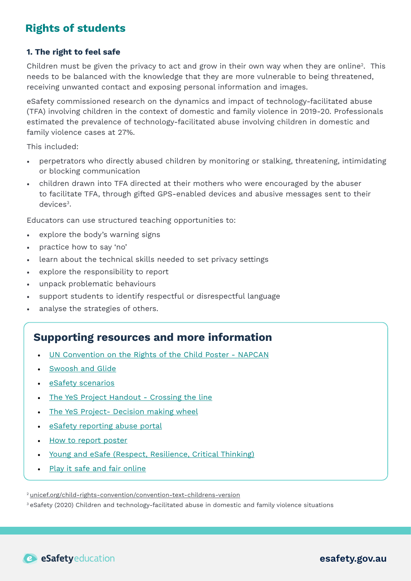# **Rights of students**

#### 1. The right to feel safe

Children must be given the privacy to act and grow in their own way when they are online2. This needs to be balanced with the knowledge that they are more vulnerable to being threatened, receiving unwanted contact and exposing personal information and images.

eSafety commissioned research on the dynamics and impact of technology-facilitated abuse (TFA) involving children in the context of domestic and family violence in 2019-20. Professionals estimated the prevalence of technology-facilitated abuse involving children in domestic and family violence cases at 27%.

This included:

- perpetrators who directly abused children by monitoring or stalking, threatening, intimidating or blocking communication
- children drawn into TFA directed at their mothers who were encouraged by the abuser to facilitate TFA, through gifted GPS-enabled devices and abusive messages sent to their devices<sup>3</sup>.

Educators can use structured teaching opportunities to:

- explore the body's warning signs
- practice how to say 'no'
- learn about the technical skills needed to set privacy settings
- explore the responsibility to report
- unpack problematic behaviours
- support students to identify respectful or disrespectful language
- analyse the strategies of others.

## Supporting resources and more information

- [UN Convention on the Rights of the Child Poster NAPCAN](https://www.napcan.org.au/wp-content/uploads/2021/10/New_UNCROC_poster_V5.pdf)
- [Swoosh and Glide](https://www.esafety.gov.au/parents/children-under-5/picture-book-and-song/swoosh-glide-and-rule-number-5)
- [eSafety scenarios](https://www.esafety.gov.au/sites/default/files/2021-08/6.%20NCPW%20Online%20boundaries%20-%20Scenarios%20V2%20%281%29.pdf)
- [The YeS Project Handout Crossing the line](https://www.esafety.gov.au/sites/default/files/2019-08/yes-project-workshop-handbook.pdf)
- [The YeS Project- Decision making wheel](https://www.esafety.gov.au/sites/default/files/2019-08/yes-project-workshop-handbook.pdf)
- [eSafety reporting abuse portal](https://www.esafety.gov.au/report)
- [How to report poster](https://www.esafety.gov.au/sites/default/files/2019-10/How%20to%20report%20cyberbullying%20poster.pdf)
- [Young and eSafe \(Respect, Resilience, Critical Thinking\)](https://www.esafety.gov.au/educators/classroom-resources/young-and-esafe)
- [Play it safe and fair online](https://www.esafety.gov.au/educators/classroom-resources/play-it-safe-and-fair-online)

2 [unicef.org/child-rights-convention/convention-text-childrens-version](https://www.unicef.org/child-rights-convention/convention-text-childrens-version)

3 eSafety (2020) Children and technology-facilitated abuse in domestic and family violence situations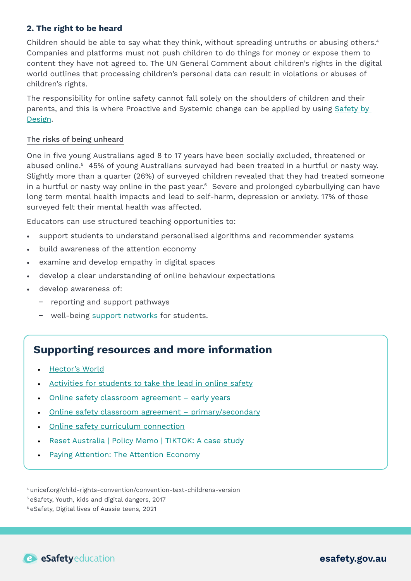#### 2. The right to be heard

Children should be able to say what they think, without spreading untruths or abusing others.<sup>4</sup> Companies and platforms must not push children to do things for money or expose them to content they have not agreed to. The UN General Comment about children's rights in the digital world outlines that processing children's personal data can result in violations or abuses of children's rights.

The responsibility for online safety cannot fall solely on the shoulders of children and their parents, and this is where Proactive and Systemic change can be applied by using [Safety by](https://www.esafety.gov.au/industry/safety-by-design)  [Design](https://www.esafety.gov.au/industry/safety-by-design).

#### The risks of being unheard

One in five young Australians aged 8 to 17 years have been socially excluded, threatened or abused online.<sup>5</sup> 45% of young Australians surveyed had been treated in a hurtful or nasty way. Slightly more than a quarter (26%) of surveyed children revealed that they had treated someone in a hurtful or nasty way online in the past year.<sup>6</sup> Severe and prolonged cyberbullying can have long term mental health impacts and lead to self-harm, depression or anxiety. 17% of those surveyed felt their mental health was affected.

Educators can use structured teaching opportunities to:

- support students to understand personalised algorithms and recommender systems
- build awareness of the attention economy
- examine and develop empathy in digital spaces
- develop a clear understanding of online behaviour expectations
- develop awareness of:
	- reporting and support pathways
	- well-being [support networks](https://www.esafety.gov.au/about-us/counselling-support-services) for students.

## Supporting resources and more information

- [Hector's World](https://www.esafety.gov.au/educators/classroom-resources/hectors-world)
- [Activities for students to take the lead in online safety](https://www.esafety.gov.au/educators/toolkit-for-schools/engage)
- Online safety classroom agreement early years
- [Online safety classroom agreement primary/secondary](https://www.esafety.gov.au/educators/classroom-resources/online-safety-classroom-agreement)
- [Online safety curriculum connection](https://www.australiancurriculum.edu.au/resources/curriculum-connections/portfolios/online-safety/)
- [Reset Australia | Policy Memo | TIKTOK: A case study](https://au.reset.tech/uploads/resettechaustralia_policymemo_tiktok_final_online.pdf)
- [Paying Attention: The Attention Economy](https://econreview.berkeley.edu/paying-attention-the-attention-economy/)

4 [unicef.org/child-rights-convention/convention-text-childrens-version](https://www.unicef.org/child-rights-convention/convention-text-childrens-version)

5 eSafety, Youth, kids and digital dangers, 2017

6 eSafety, Digital lives of Aussie teens, 2021

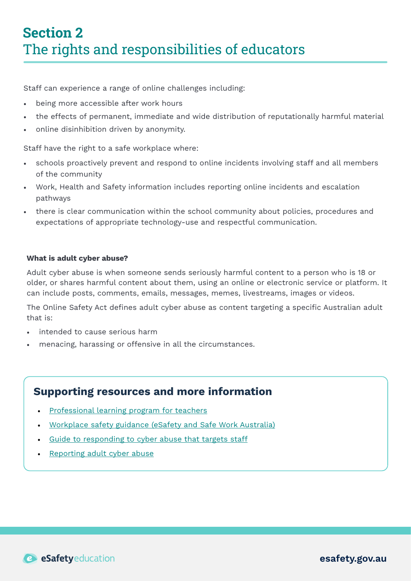Staff can experience a range of online challenges including:

- being more accessible after work hours
- the effects of permanent, immediate and wide distribution of reputationally harmful material
- online disinhibition driven by anonymity.

Staff have the right to a safe workplace where:

- schools proactively prevent and respond to online incidents involving staff and all members of the community
- Work, Health and Safety information includes reporting online incidents and escalation pathways
- there is clear communication within the school community about policies, procedures and expectations of appropriate technology-use and respectful communication.

#### What is adult cyber abuse?

Adult cyber abuse is when someone sends seriously harmful content to a person who is 18 or older, or shares harmful content about them, using an online or electronic service or platform. It can include posts, comments, emails, messages, memes, livestreams, images or videos.

The Online Safety Act defines adult cyber abuse as content targeting a specific Australian adult that is:

- intended to cause serious harm
- menacing, harassing or offensive in all the circumstances.

## Supporting resources and more information

- [Professional learning program for teachers](https://www.esafety.gov.au/educators/training-for-professionals/teachers-professional-learning-program)
- [Workplace safety guidance \(eSafety and Safe Work Australia\)](https://www.esafety.gov.au/educators/corporate-and-community-education/workplace-safety-guidance)
- [Guide to responding to cyber abuse that targets staff](https://www.esafety.gov.au/sites/default/files/2020-02/respond_5_-_guide_to_responding_to_cyber_abuse_that_targets_staff.pdf)
- [Reporting adult cyber abuse](https://www.esafety.gov.au/report)